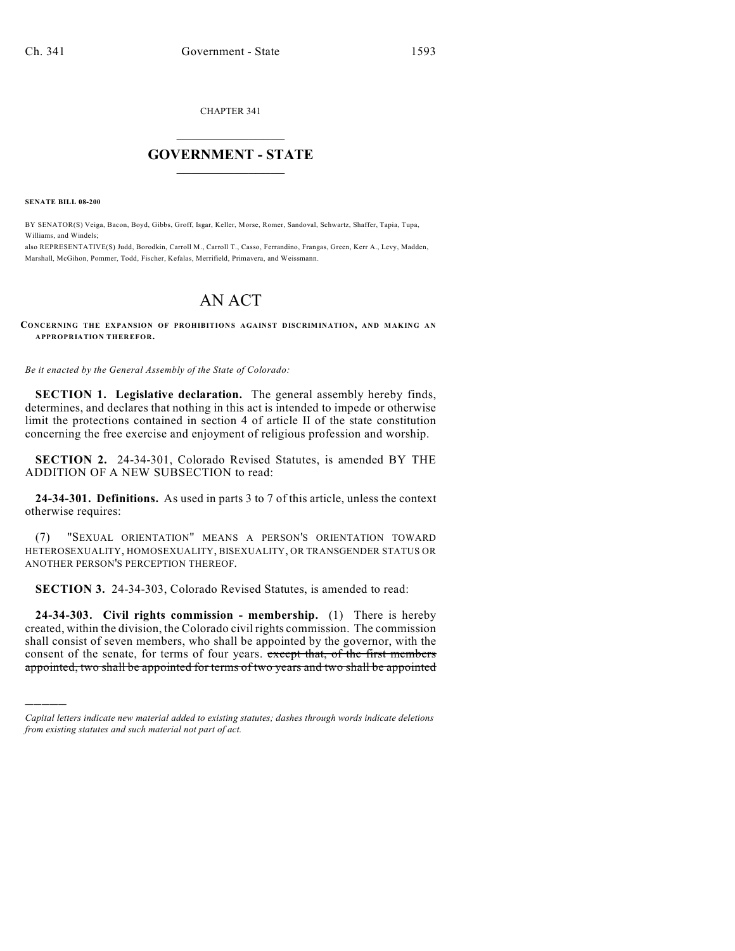CHAPTER 341

## $\overline{\phantom{a}}$  . The set of the set of the set of the set of the set of the set of the set of the set of the set of the set of the set of the set of the set of the set of the set of the set of the set of the set of the set o **GOVERNMENT - STATE**  $\_$

**SENATE BILL 08-200**

)))))

BY SENATOR(S) Veiga, Bacon, Boyd, Gibbs, Groff, Isgar, Keller, Morse, Romer, Sandoval, Schwartz, Shaffer, Tapia, Tupa, Williams, and Windels;

also REPRESENTATIVE(S) Judd, Borodkin, Carroll M., Carroll T., Casso, Ferrandino, Frangas, Green, Kerr A., Levy, Madden, Marshall, McGihon, Pommer, Todd, Fischer, Kefalas, Merrifield, Primavera, and Weissmann.

## AN ACT

**CONCERNING THE EXPANSION OF PROHIBITIONS AGAINST DISCRIMINATION, AND MAKING AN APPROPRIATION THEREFOR.**

*Be it enacted by the General Assembly of the State of Colorado:*

**SECTION 1. Legislative declaration.** The general assembly hereby finds, determines, and declares that nothing in this act is intended to impede or otherwise limit the protections contained in section 4 of article II of the state constitution concerning the free exercise and enjoyment of religious profession and worship.

**SECTION 2.** 24-34-301, Colorado Revised Statutes, is amended BY THE ADDITION OF A NEW SUBSECTION to read:

**24-34-301. Definitions.** As used in parts 3 to 7 of this article, unless the context otherwise requires:

(7) "SEXUAL ORIENTATION" MEANS A PERSON'S ORIENTATION TOWARD HETEROSEXUALITY, HOMOSEXUALITY, BISEXUALITY, OR TRANSGENDER STATUS OR ANOTHER PERSON'S PERCEPTION THEREOF.

**SECTION 3.** 24-34-303, Colorado Revised Statutes, is amended to read:

**24-34-303. Civil rights commission - membership.** (1) There is hereby created, within the division, the Colorado civil rights commission. The commission shall consist of seven members, who shall be appointed by the governor, with the consent of the senate, for terms of four years. except that, of the first members appointed, two shall be appointed for terms of two years and two shall be appointed

*Capital letters indicate new material added to existing statutes; dashes through words indicate deletions from existing statutes and such material not part of act.*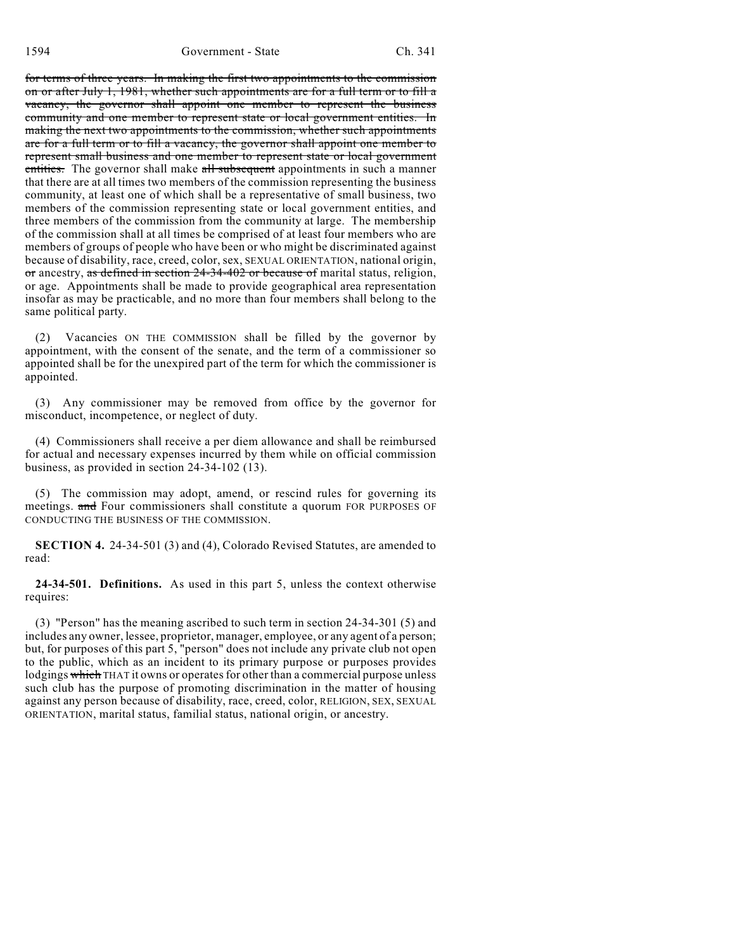for terms of three years. In making the first two appointments to the commission on or after July 1, 1981, whether such appointments are for a full term or to fill a vacancy, the governor shall appoint one member to represent the business community and one member to represent state or local government entities. In making the next two appointments to the commission, whether such appointments are for a full term or to fill a vacancy, the governor shall appoint one member to represent small business and one member to represent state or local government entities. The governor shall make all subsequent appointments in such a manner that there are at all times two members of the commission representing the business community, at least one of which shall be a representative of small business, two members of the commission representing state or local government entities, and three members of the commission from the community at large. The membership of the commission shall at all times be comprised of at least four members who are members of groups of people who have been or who might be discriminated against because of disability, race, creed, color, sex, SEXUAL ORIENTATION, national origin, or ancestry, as defined in section 24-34-402 or because of marital status, religion, or age. Appointments shall be made to provide geographical area representation insofar as may be practicable, and no more than four members shall belong to the same political party.

(2) Vacancies ON THE COMMISSION shall be filled by the governor by appointment, with the consent of the senate, and the term of a commissioner so appointed shall be for the unexpired part of the term for which the commissioner is appointed.

(3) Any commissioner may be removed from office by the governor for misconduct, incompetence, or neglect of duty.

(4) Commissioners shall receive a per diem allowance and shall be reimbursed for actual and necessary expenses incurred by them while on official commission business, as provided in section 24-34-102 (13).

(5) The commission may adopt, amend, or rescind rules for governing its meetings. and Four commissioners shall constitute a quorum FOR PURPOSES OF CONDUCTING THE BUSINESS OF THE COMMISSION.

**SECTION 4.** 24-34-501 (3) and (4), Colorado Revised Statutes, are amended to read:

**24-34-501. Definitions.** As used in this part 5, unless the context otherwise requires:

(3) "Person" has the meaning ascribed to such term in section 24-34-301 (5) and includes any owner, lessee, proprietor, manager, employee, or any agent of a person; but, for purposes of this part 5, "person" does not include any private club not open to the public, which as an incident to its primary purpose or purposes provides lodgings which THAT it owns or operates for other than a commercial purpose unless such club has the purpose of promoting discrimination in the matter of housing against any person because of disability, race, creed, color, RELIGION, SEX, SEXUAL ORIENTATION, marital status, familial status, national origin, or ancestry.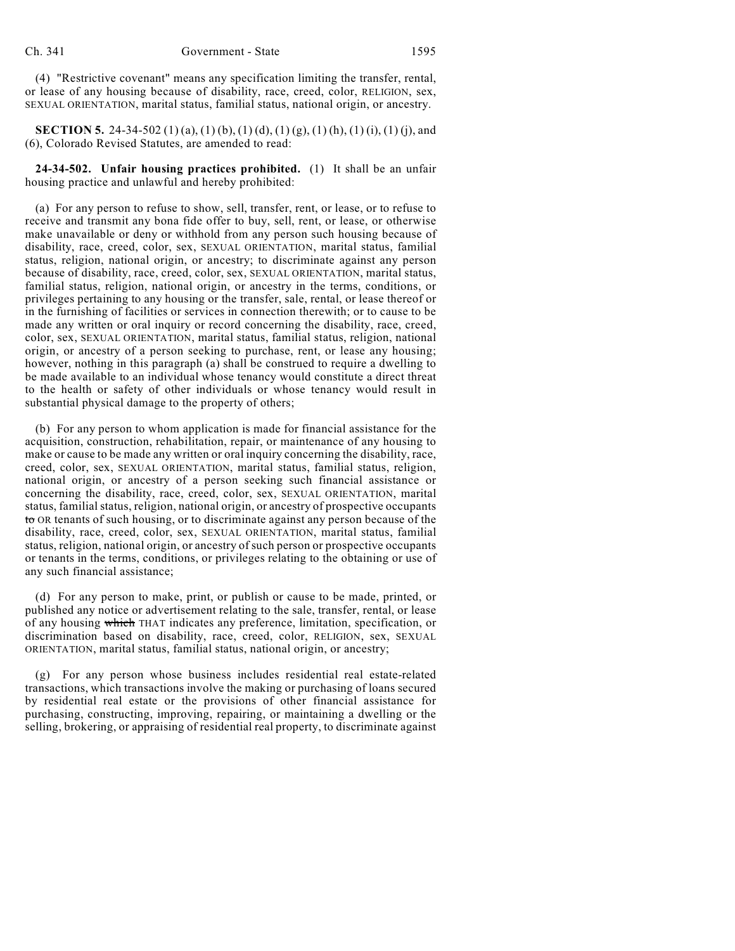(4) "Restrictive covenant" means any specification limiting the transfer, rental, or lease of any housing because of disability, race, creed, color, RELIGION, sex, SEXUAL ORIENTATION, marital status, familial status, national origin, or ancestry.

**SECTION 5.** 24-34-502 (1) (a), (1) (b), (1) (d), (1) (g), (1) (h), (1) (i), (1) (j), and (6), Colorado Revised Statutes, are amended to read:

**24-34-502. Unfair housing practices prohibited.** (1) It shall be an unfair housing practice and unlawful and hereby prohibited:

(a) For any person to refuse to show, sell, transfer, rent, or lease, or to refuse to receive and transmit any bona fide offer to buy, sell, rent, or lease, or otherwise make unavailable or deny or withhold from any person such housing because of disability, race, creed, color, sex, SEXUAL ORIENTATION, marital status, familial status, religion, national origin, or ancestry; to discriminate against any person because of disability, race, creed, color, sex, SEXUAL ORIENTATION, marital status, familial status, religion, national origin, or ancestry in the terms, conditions, or privileges pertaining to any housing or the transfer, sale, rental, or lease thereof or in the furnishing of facilities or services in connection therewith; or to cause to be made any written or oral inquiry or record concerning the disability, race, creed, color, sex, SEXUAL ORIENTATION, marital status, familial status, religion, national origin, or ancestry of a person seeking to purchase, rent, or lease any housing; however, nothing in this paragraph (a) shall be construed to require a dwelling to be made available to an individual whose tenancy would constitute a direct threat to the health or safety of other individuals or whose tenancy would result in substantial physical damage to the property of others;

(b) For any person to whom application is made for financial assistance for the acquisition, construction, rehabilitation, repair, or maintenance of any housing to make or cause to be made any written or oral inquiry concerning the disability, race, creed, color, sex, SEXUAL ORIENTATION, marital status, familial status, religion, national origin, or ancestry of a person seeking such financial assistance or concerning the disability, race, creed, color, sex, SEXUAL ORIENTATION, marital status, familial status, religion, national origin, or ancestry of prospective occupants to OR tenants of such housing, or to discriminate against any person because of the disability, race, creed, color, sex, SEXUAL ORIENTATION, marital status, familial status, religion, national origin, or ancestry of such person or prospective occupants or tenants in the terms, conditions, or privileges relating to the obtaining or use of any such financial assistance;

(d) For any person to make, print, or publish or cause to be made, printed, or published any notice or advertisement relating to the sale, transfer, rental, or lease of any housing which THAT indicates any preference, limitation, specification, or discrimination based on disability, race, creed, color, RELIGION, sex, SEXUAL ORIENTATION, marital status, familial status, national origin, or ancestry;

(g) For any person whose business includes residential real estate-related transactions, which transactions involve the making or purchasing of loans secured by residential real estate or the provisions of other financial assistance for purchasing, constructing, improving, repairing, or maintaining a dwelling or the selling, brokering, or appraising of residential real property, to discriminate against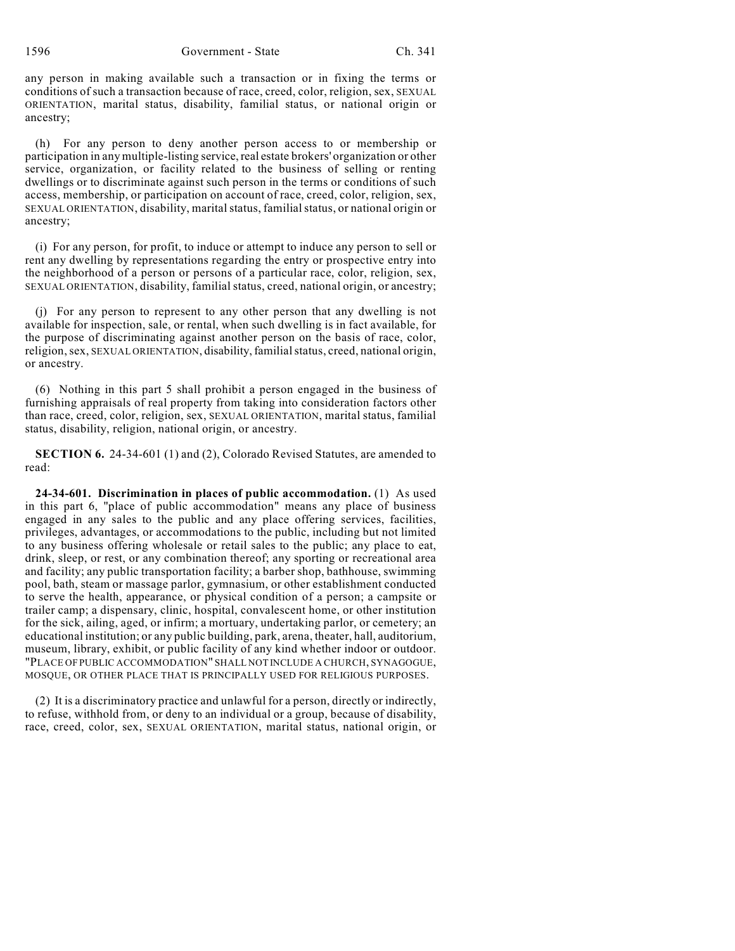any person in making available such a transaction or in fixing the terms or conditions of such a transaction because of race, creed, color, religion, sex, SEXUAL ORIENTATION, marital status, disability, familial status, or national origin or ancestry;

(h) For any person to deny another person access to or membership or participation in any multiple-listing service, real estate brokers' organization or other service, organization, or facility related to the business of selling or renting dwellings or to discriminate against such person in the terms or conditions of such access, membership, or participation on account of race, creed, color, religion, sex, SEXUAL ORIENTATION, disability, marital status, familialstatus, or national origin or ancestry;

(i) For any person, for profit, to induce or attempt to induce any person to sell or rent any dwelling by representations regarding the entry or prospective entry into the neighborhood of a person or persons of a particular race, color, religion, sex, SEXUAL ORIENTATION, disability, familial status, creed, national origin, or ancestry;

(j) For any person to represent to any other person that any dwelling is not available for inspection, sale, or rental, when such dwelling is in fact available, for the purpose of discriminating against another person on the basis of race, color, religion, sex, SEXUAL ORIENTATION, disability, familial status, creed, national origin, or ancestry.

(6) Nothing in this part 5 shall prohibit a person engaged in the business of furnishing appraisals of real property from taking into consideration factors other than race, creed, color, religion, sex, SEXUAL ORIENTATION, marital status, familial status, disability, religion, national origin, or ancestry.

**SECTION 6.** 24-34-601 (1) and (2), Colorado Revised Statutes, are amended to read:

**24-34-601. Discrimination in places of public accommodation.** (1) As used in this part 6, "place of public accommodation" means any place of business engaged in any sales to the public and any place offering services, facilities, privileges, advantages, or accommodations to the public, including but not limited to any business offering wholesale or retail sales to the public; any place to eat, drink, sleep, or rest, or any combination thereof; any sporting or recreational area and facility; any public transportation facility; a barber shop, bathhouse, swimming pool, bath, steam or massage parlor, gymnasium, or other establishment conducted to serve the health, appearance, or physical condition of a person; a campsite or trailer camp; a dispensary, clinic, hospital, convalescent home, or other institution for the sick, ailing, aged, or infirm; a mortuary, undertaking parlor, or cemetery; an educational institution; or any public building, park, arena, theater, hall, auditorium, museum, library, exhibit, or public facility of any kind whether indoor or outdoor. "PLACE OF PUBLIC ACCOMMODATION" SHALL NOT INCLUDE A CHURCH, SYNAGOGUE, MOSQUE, OR OTHER PLACE THAT IS PRINCIPALLY USED FOR RELIGIOUS PURPOSES.

(2) It is a discriminatory practice and unlawful for a person, directly or indirectly, to refuse, withhold from, or deny to an individual or a group, because of disability, race, creed, color, sex, SEXUAL ORIENTATION, marital status, national origin, or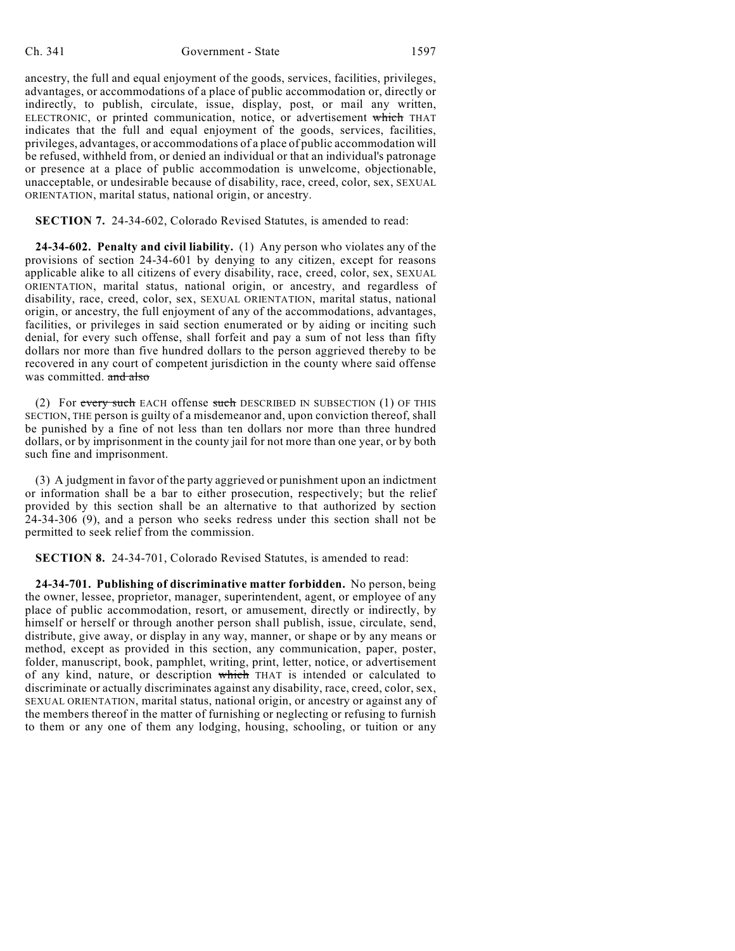ancestry, the full and equal enjoyment of the goods, services, facilities, privileges, advantages, or accommodations of a place of public accommodation or, directly or indirectly, to publish, circulate, issue, display, post, or mail any written, ELECTRONIC, or printed communication, notice, or advertisement which THAT indicates that the full and equal enjoyment of the goods, services, facilities, privileges, advantages, or accommodations of a place of public accommodation will be refused, withheld from, or denied an individual or that an individual's patronage or presence at a place of public accommodation is unwelcome, objectionable, unacceptable, or undesirable because of disability, race, creed, color, sex, SEXUAL ORIENTATION, marital status, national origin, or ancestry.

**SECTION 7.** 24-34-602, Colorado Revised Statutes, is amended to read:

**24-34-602. Penalty and civil liability.** (1) Any person who violates any of the provisions of section 24-34-601 by denying to any citizen, except for reasons applicable alike to all citizens of every disability, race, creed, color, sex, SEXUAL ORIENTATION, marital status, national origin, or ancestry, and regardless of disability, race, creed, color, sex, SEXUAL ORIENTATION, marital status, national origin, or ancestry, the full enjoyment of any of the accommodations, advantages, facilities, or privileges in said section enumerated or by aiding or inciting such denial, for every such offense, shall forfeit and pay a sum of not less than fifty dollars nor more than five hundred dollars to the person aggrieved thereby to be recovered in any court of competent jurisdiction in the county where said offense was committed. and also

(2) For every such EACH offense such DESCRIBED IN SUBSECTION (1) OF THIS SECTION, THE person is guilty of a misdemeanor and, upon conviction thereof, shall be punished by a fine of not less than ten dollars nor more than three hundred dollars, or by imprisonment in the county jail for not more than one year, or by both such fine and imprisonment.

(3) A judgment in favor of the party aggrieved or punishment upon an indictment or information shall be a bar to either prosecution, respectively; but the relief provided by this section shall be an alternative to that authorized by section 24-34-306 (9), and a person who seeks redress under this section shall not be permitted to seek relief from the commission.

**SECTION 8.** 24-34-701, Colorado Revised Statutes, is amended to read:

**24-34-701. Publishing of discriminative matter forbidden.** No person, being the owner, lessee, proprietor, manager, superintendent, agent, or employee of any place of public accommodation, resort, or amusement, directly or indirectly, by himself or herself or through another person shall publish, issue, circulate, send, distribute, give away, or display in any way, manner, or shape or by any means or method, except as provided in this section, any communication, paper, poster, folder, manuscript, book, pamphlet, writing, print, letter, notice, or advertisement of any kind, nature, or description which THAT is intended or calculated to discriminate or actually discriminates against any disability, race, creed, color, sex, SEXUAL ORIENTATION, marital status, national origin, or ancestry or against any of the members thereof in the matter of furnishing or neglecting or refusing to furnish to them or any one of them any lodging, housing, schooling, or tuition or any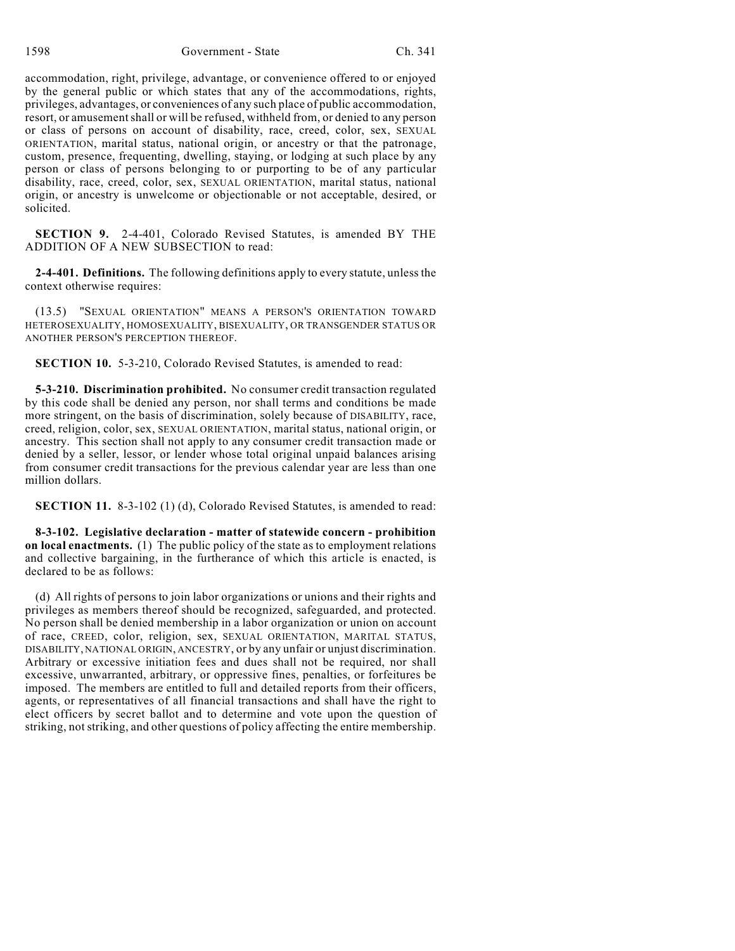accommodation, right, privilege, advantage, or convenience offered to or enjoyed by the general public or which states that any of the accommodations, rights, privileges, advantages, or conveniences of any such place of public accommodation, resort, or amusement shall or will be refused, withheld from, or denied to any person or class of persons on account of disability, race, creed, color, sex, SEXUAL ORIENTATION, marital status, national origin, or ancestry or that the patronage, custom, presence, frequenting, dwelling, staying, or lodging at such place by any person or class of persons belonging to or purporting to be of any particular disability, race, creed, color, sex, SEXUAL ORIENTATION, marital status, national origin, or ancestry is unwelcome or objectionable or not acceptable, desired, or solicited.

**SECTION 9.** 2-4-401, Colorado Revised Statutes, is amended BY THE ADDITION OF A NEW SUBSECTION to read:

**2-4-401. Definitions.** The following definitions apply to every statute, unless the context otherwise requires:

(13.5) "SEXUAL ORIENTATION" MEANS A PERSON'S ORIENTATION TOWARD HETEROSEXUALITY, HOMOSEXUALITY, BISEXUALITY, OR TRANSGENDER STATUS OR ANOTHER PERSON'S PERCEPTION THEREOF.

**SECTION 10.** 5-3-210, Colorado Revised Statutes, is amended to read:

**5-3-210. Discrimination prohibited.** No consumer credit transaction regulated by this code shall be denied any person, nor shall terms and conditions be made more stringent, on the basis of discrimination, solely because of DISABILITY, race, creed, religion, color, sex, SEXUAL ORIENTATION, marital status, national origin, or ancestry. This section shall not apply to any consumer credit transaction made or denied by a seller, lessor, or lender whose total original unpaid balances arising from consumer credit transactions for the previous calendar year are less than one million dollars.

**SECTION 11.** 8-3-102 (1) (d), Colorado Revised Statutes, is amended to read:

**8-3-102. Legislative declaration - matter of statewide concern - prohibition on local enactments.** (1) The public policy of the state as to employment relations and collective bargaining, in the furtherance of which this article is enacted, is declared to be as follows:

(d) All rights of persons to join labor organizations or unions and their rights and privileges as members thereof should be recognized, safeguarded, and protected. No person shall be denied membership in a labor organization or union on account of race, CREED, color, religion, sex, SEXUAL ORIENTATION, MARITAL STATUS, DISABILITY, NATIONAL ORIGIN, ANCESTRY, or by any unfair or unjust discrimination. Arbitrary or excessive initiation fees and dues shall not be required, nor shall excessive, unwarranted, arbitrary, or oppressive fines, penalties, or forfeitures be imposed. The members are entitled to full and detailed reports from their officers, agents, or representatives of all financial transactions and shall have the right to elect officers by secret ballot and to determine and vote upon the question of striking, not striking, and other questions of policy affecting the entire membership.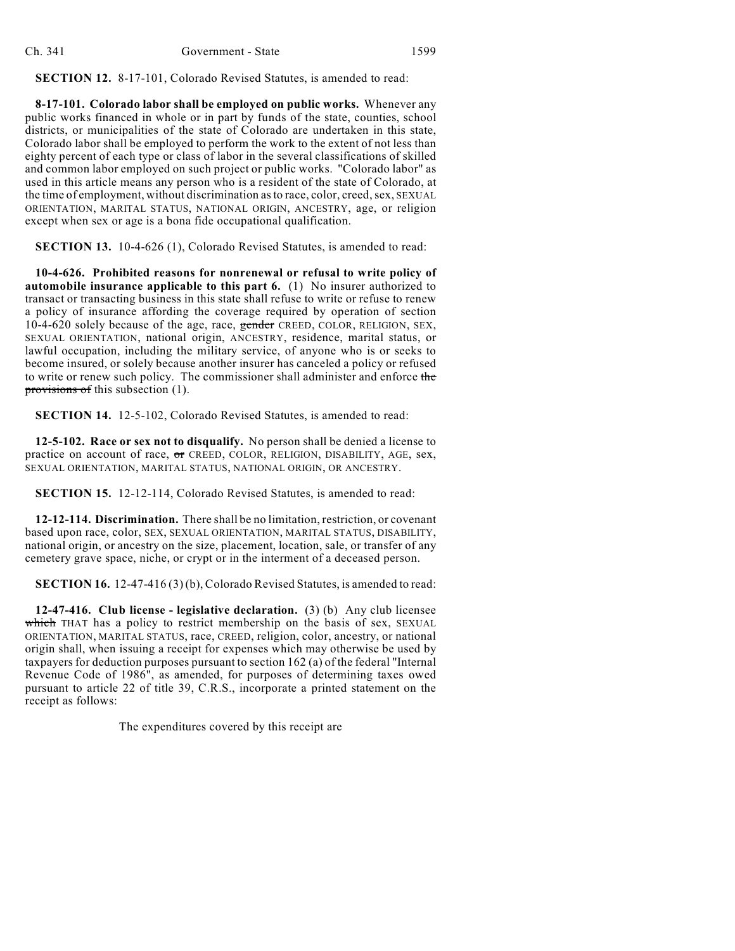**SECTION 12.** 8-17-101, Colorado Revised Statutes, is amended to read:

**8-17-101. Colorado labor shall be employed on public works.** Whenever any public works financed in whole or in part by funds of the state, counties, school districts, or municipalities of the state of Colorado are undertaken in this state, Colorado labor shall be employed to perform the work to the extent of not less than eighty percent of each type or class of labor in the several classifications of skilled and common labor employed on such project or public works. "Colorado labor" as used in this article means any person who is a resident of the state of Colorado, at the time of employment, without discrimination as to race, color, creed, sex, SEXUAL ORIENTATION, MARITAL STATUS, NATIONAL ORIGIN, ANCESTRY, age, or religion except when sex or age is a bona fide occupational qualification.

**SECTION 13.** 10-4-626 (1), Colorado Revised Statutes, is amended to read:

**10-4-626. Prohibited reasons for nonrenewal or refusal to write policy of automobile insurance applicable to this part 6.** (1) No insurer authorized to transact or transacting business in this state shall refuse to write or refuse to renew a policy of insurance affording the coverage required by operation of section 10-4-620 solely because of the age, race, gender CREED, COLOR, RELIGION, SEX, SEXUAL ORIENTATION, national origin, ANCESTRY, residence, marital status, or lawful occupation, including the military service, of anyone who is or seeks to become insured, or solely because another insurer has canceled a policy or refused to write or renew such policy. The commissioner shall administer and enforce the provisions of this subsection (1).

**SECTION 14.** 12-5-102, Colorado Revised Statutes, is amended to read:

**12-5-102. Race or sex not to disqualify.** No person shall be denied a license to practice on account of race, or CREED, COLOR, RELIGION, DISABILITY, AGE, sex, SEXUAL ORIENTATION, MARITAL STATUS, NATIONAL ORIGIN, OR ANCESTRY.

**SECTION 15.** 12-12-114, Colorado Revised Statutes, is amended to read:

**12-12-114. Discrimination.** There shall be no limitation, restriction, or covenant based upon race, color, SEX, SEXUAL ORIENTATION, MARITAL STATUS, DISABILITY, national origin, or ancestry on the size, placement, location, sale, or transfer of any cemetery grave space, niche, or crypt or in the interment of a deceased person.

**SECTION 16.** 12-47-416 (3) (b), Colorado Revised Statutes, is amended to read:

**12-47-416. Club license - legislative declaration.** (3) (b) Any club licensee which THAT has a policy to restrict membership on the basis of sex, SEXUAL ORIENTATION, MARITAL STATUS, race, CREED, religion, color, ancestry, or national origin shall, when issuing a receipt for expenses which may otherwise be used by taxpayers for deduction purposes pursuant to section 162 (a) of the federal "Internal Revenue Code of 1986", as amended, for purposes of determining taxes owed pursuant to article 22 of title 39, C.R.S., incorporate a printed statement on the receipt as follows:

The expenditures covered by this receipt are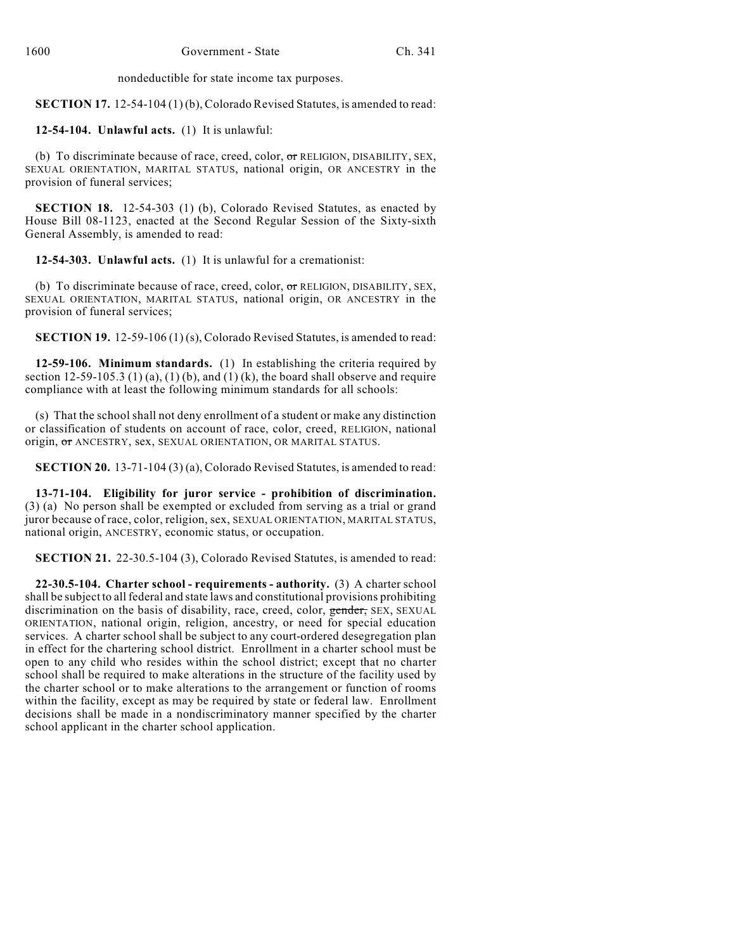nondeductible for state income tax purposes.

**SECTION 17.** 12-54-104 (1) (b), Colorado Revised Statutes, is amended to read:

## **12-54-104. Unlawful acts.** (1) It is unlawful:

(b) To discriminate because of race, creed, color,  $\sigma$ r RELIGION, DISABILITY, SEX, SEXUAL ORIENTATION, MARITAL STATUS, national origin, OR ANCESTRY in the provision of funeral services;

**SECTION 18.** 12-54-303 (1) (b), Colorado Revised Statutes, as enacted by House Bill 08-1123, enacted at the Second Regular Session of the Sixty-sixth General Assembly, is amended to read:

**12-54-303. Unlawful acts.** (1) It is unlawful for a cremationist:

(b) To discriminate because of race, creed, color, or RELIGION, DISABILITY, SEX, SEXUAL ORIENTATION, MARITAL STATUS, national origin, OR ANCESTRY in the provision of funeral services;

**SECTION 19.** 12-59-106 (1) (s), Colorado Revised Statutes, is amended to read:

**12-59-106. Minimum standards.** (1) In establishing the criteria required by section 12-59-105.3 (1) (a), (1) (b), and (1) (k), the board shall observe and require compliance with at least the following minimum standards for all schools:

(s) That the school shall not deny enrollment of a student or make any distinction or classification of students on account of race, color, creed, RELIGION, national origin, or ANCESTRY, sex, SEXUAL ORIENTATION, OR MARITAL STATUS.

**SECTION 20.** 13-71-104 (3) (a), Colorado Revised Statutes, is amended to read:

**13-71-104. Eligibility for juror service - prohibition of discrimination.** (3) (a) No person shall be exempted or excluded from serving as a trial or grand juror because of race, color, religion, sex, SEXUAL ORIENTATION, MARITAL STATUS, national origin, ANCESTRY, economic status, or occupation.

**SECTION 21.** 22-30.5-104 (3), Colorado Revised Statutes, is amended to read:

**22-30.5-104. Charter school - requirements - authority.** (3) A charter school shall be subject to all federal and state laws and constitutional provisions prohibiting discrimination on the basis of disability, race, creed, color, gender, SEX, SEXUAL ORIENTATION, national origin, religion, ancestry, or need for special education services. A charter school shall be subject to any court-ordered desegregation plan in effect for the chartering school district. Enrollment in a charter school must be open to any child who resides within the school district; except that no charter school shall be required to make alterations in the structure of the facility used by the charter school or to make alterations to the arrangement or function of rooms within the facility, except as may be required by state or federal law. Enrollment decisions shall be made in a nondiscriminatory manner specified by the charter school applicant in the charter school application.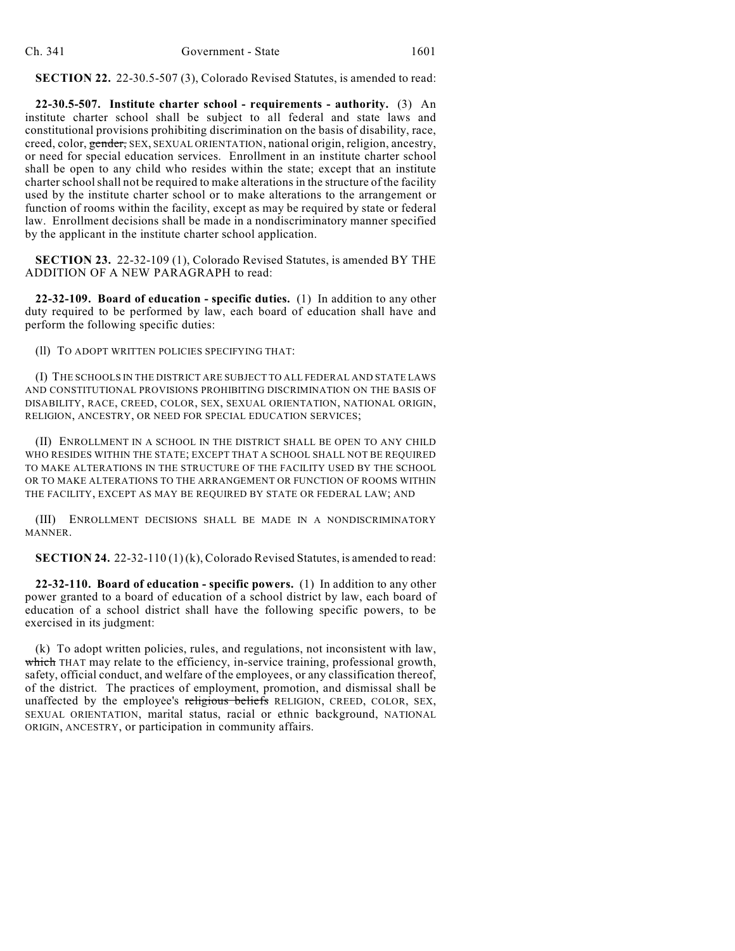**SECTION 22.** 22-30.5-507 (3), Colorado Revised Statutes, is amended to read:

**22-30.5-507. Institute charter school - requirements - authority.** (3) An institute charter school shall be subject to all federal and state laws and constitutional provisions prohibiting discrimination on the basis of disability, race, creed, color, gender, SEX, SEXUAL ORIENTATION, national origin, religion, ancestry, or need for special education services. Enrollment in an institute charter school shall be open to any child who resides within the state; except that an institute charter school shall not be required to make alterations in the structure of the facility used by the institute charter school or to make alterations to the arrangement or function of rooms within the facility, except as may be required by state or federal law. Enrollment decisions shall be made in a nondiscriminatory manner specified by the applicant in the institute charter school application.

**SECTION 23.** 22-32-109 (1), Colorado Revised Statutes, is amended BY THE ADDITION OF A NEW PARAGRAPH to read:

**22-32-109. Board of education - specific duties.** (1) In addition to any other duty required to be performed by law, each board of education shall have and perform the following specific duties:

(ll) TO ADOPT WRITTEN POLICIES SPECIFYING THAT:

(I) THE SCHOOLS IN THE DISTRICT ARE SUBJECT TO ALL FEDERAL AND STATE LAWS AND CONSTITUTIONAL PROVISIONS PROHIBITING DISCRIMINATION ON THE BASIS OF DISABILITY, RACE, CREED, COLOR, SEX, SEXUAL ORIENTATION, NATIONAL ORIGIN, RELIGION, ANCESTRY, OR NEED FOR SPECIAL EDUCATION SERVICES;

(II) ENROLLMENT IN A SCHOOL IN THE DISTRICT SHALL BE OPEN TO ANY CHILD WHO RESIDES WITHIN THE STATE; EXCEPT THAT A SCHOOL SHALL NOT BE REQUIRED TO MAKE ALTERATIONS IN THE STRUCTURE OF THE FACILITY USED BY THE SCHOOL OR TO MAKE ALTERATIONS TO THE ARRANGEMENT OR FUNCTION OF ROOMS WITHIN THE FACILITY, EXCEPT AS MAY BE REQUIRED BY STATE OR FEDERAL LAW; AND

(III) ENROLLMENT DECISIONS SHALL BE MADE IN A NONDISCRIMINATORY MANNER.

**SECTION 24.** 22-32-110 (1) (k), Colorado Revised Statutes, is amended to read:

**22-32-110. Board of education - specific powers.** (1) In addition to any other power granted to a board of education of a school district by law, each board of education of a school district shall have the following specific powers, to be exercised in its judgment:

(k) To adopt written policies, rules, and regulations, not inconsistent with law, which THAT may relate to the efficiency, in-service training, professional growth, safety, official conduct, and welfare of the employees, or any classification thereof, of the district. The practices of employment, promotion, and dismissal shall be unaffected by the employee's religious beliefs RELIGION, CREED, COLOR, SEX, SEXUAL ORIENTATION, marital status, racial or ethnic background, NATIONAL ORIGIN, ANCESTRY, or participation in community affairs.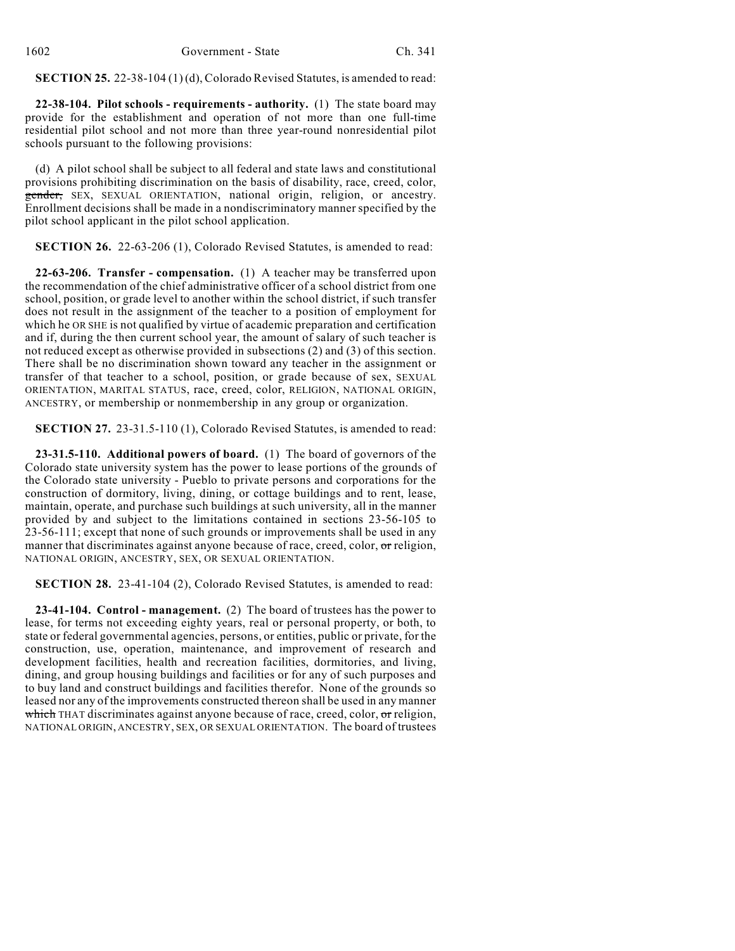**SECTION 25.** 22-38-104 (1) (d), Colorado Revised Statutes, is amended to read:

**22-38-104. Pilot schools - requirements - authority.** (1) The state board may provide for the establishment and operation of not more than one full-time residential pilot school and not more than three year-round nonresidential pilot schools pursuant to the following provisions:

(d) A pilot school shall be subject to all federal and state laws and constitutional provisions prohibiting discrimination on the basis of disability, race, creed, color, gender, SEX, SEXUAL ORIENTATION, national origin, religion, or ancestry. Enrollment decisions shall be made in a nondiscriminatory manner specified by the pilot school applicant in the pilot school application.

**SECTION 26.** 22-63-206 (1), Colorado Revised Statutes, is amended to read:

**22-63-206. Transfer - compensation.** (1) A teacher may be transferred upon the recommendation of the chief administrative officer of a school district from one school, position, or grade level to another within the school district, if such transfer does not result in the assignment of the teacher to a position of employment for which he OR SHE is not qualified by virtue of academic preparation and certification and if, during the then current school year, the amount of salary of such teacher is not reduced except as otherwise provided in subsections (2) and (3) of this section. There shall be no discrimination shown toward any teacher in the assignment or transfer of that teacher to a school, position, or grade because of sex, SEXUAL ORIENTATION, MARITAL STATUS, race, creed, color, RELIGION, NATIONAL ORIGIN, ANCESTRY, or membership or nonmembership in any group or organization.

**SECTION 27.** 23-31.5-110 (1), Colorado Revised Statutes, is amended to read:

**23-31.5-110. Additional powers of board.** (1) The board of governors of the Colorado state university system has the power to lease portions of the grounds of the Colorado state university - Pueblo to private persons and corporations for the construction of dormitory, living, dining, or cottage buildings and to rent, lease, maintain, operate, and purchase such buildings at such university, all in the manner provided by and subject to the limitations contained in sections 23-56-105 to 23-56-111; except that none of such grounds or improvements shall be used in any manner that discriminates against anyone because of race, creed, color, or religion, NATIONAL ORIGIN, ANCESTRY, SEX, OR SEXUAL ORIENTATION.

**SECTION 28.** 23-41-104 (2), Colorado Revised Statutes, is amended to read:

**23-41-104. Control - management.** (2) The board of trustees has the power to lease, for terms not exceeding eighty years, real or personal property, or both, to state or federal governmental agencies, persons, or entities, public or private, for the construction, use, operation, maintenance, and improvement of research and development facilities, health and recreation facilities, dormitories, and living, dining, and group housing buildings and facilities or for any of such purposes and to buy land and construct buildings and facilities therefor. None of the grounds so leased nor any of the improvements constructed thereon shall be used in any manner which THAT discriminates against anyone because of race, creed, color, or religion, NATIONAL ORIGIN, ANCESTRY, SEX, OR SEXUAL ORIENTATION. The board of trustees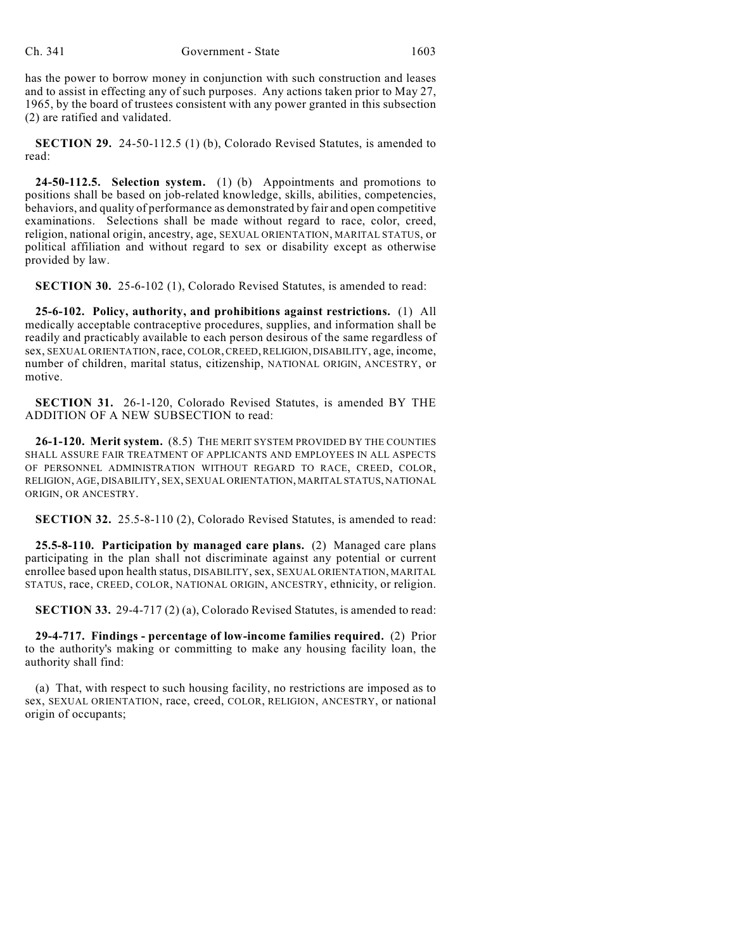has the power to borrow money in conjunction with such construction and leases and to assist in effecting any of such purposes. Any actions taken prior to May 27, 1965, by the board of trustees consistent with any power granted in this subsection (2) are ratified and validated.

**SECTION 29.** 24-50-112.5 (1) (b), Colorado Revised Statutes, is amended to read:

**24-50-112.5. Selection system.** (1) (b) Appointments and promotions to positions shall be based on job-related knowledge, skills, abilities, competencies, behaviors, and quality of performance as demonstrated by fair and open competitive examinations. Selections shall be made without regard to race, color, creed, religion, national origin, ancestry, age, SEXUAL ORIENTATION, MARITAL STATUS, or political affiliation and without regard to sex or disability except as otherwise provided by law.

**SECTION 30.** 25-6-102 (1), Colorado Revised Statutes, is amended to read:

**25-6-102. Policy, authority, and prohibitions against restrictions.** (1) All medically acceptable contraceptive procedures, supplies, and information shall be readily and practicably available to each person desirous of the same regardless of sex, SEXUAL ORIENTATION, race, COLOR, CREED, RELIGION, DISABILITY, age, income, number of children, marital status, citizenship, NATIONAL ORIGIN, ANCESTRY, or motive.

**SECTION 31.** 26-1-120, Colorado Revised Statutes, is amended BY THE ADDITION OF A NEW SUBSECTION to read:

**26-1-120. Merit system.** (8.5) THE MERIT SYSTEM PROVIDED BY THE COUNTIES SHALL ASSURE FAIR TREATMENT OF APPLICANTS AND EMPLOYEES IN ALL ASPECTS OF PERSONNEL ADMINISTRATION WITHOUT REGARD TO RACE, CREED, COLOR, RELIGION, AGE, DISABILITY, SEX, SEXUAL ORIENTATION, MARITAL STATUS, NATIONAL ORIGIN, OR ANCESTRY.

**SECTION 32.** 25.5-8-110 (2), Colorado Revised Statutes, is amended to read:

**25.5-8-110. Participation by managed care plans.** (2) Managed care plans participating in the plan shall not discriminate against any potential or current enrollee based upon health status, DISABILITY, sex, SEXUAL ORIENTATION, MARITAL STATUS, race, CREED, COLOR, NATIONAL ORIGIN, ANCESTRY, ethnicity, or religion.

**SECTION 33.** 29-4-717 (2) (a), Colorado Revised Statutes, is amended to read:

**29-4-717. Findings - percentage of low-income families required.** (2) Prior to the authority's making or committing to make any housing facility loan, the authority shall find:

(a) That, with respect to such housing facility, no restrictions are imposed as to sex, SEXUAL ORIENTATION, race, creed, COLOR, RELIGION, ANCESTRY, or national origin of occupants;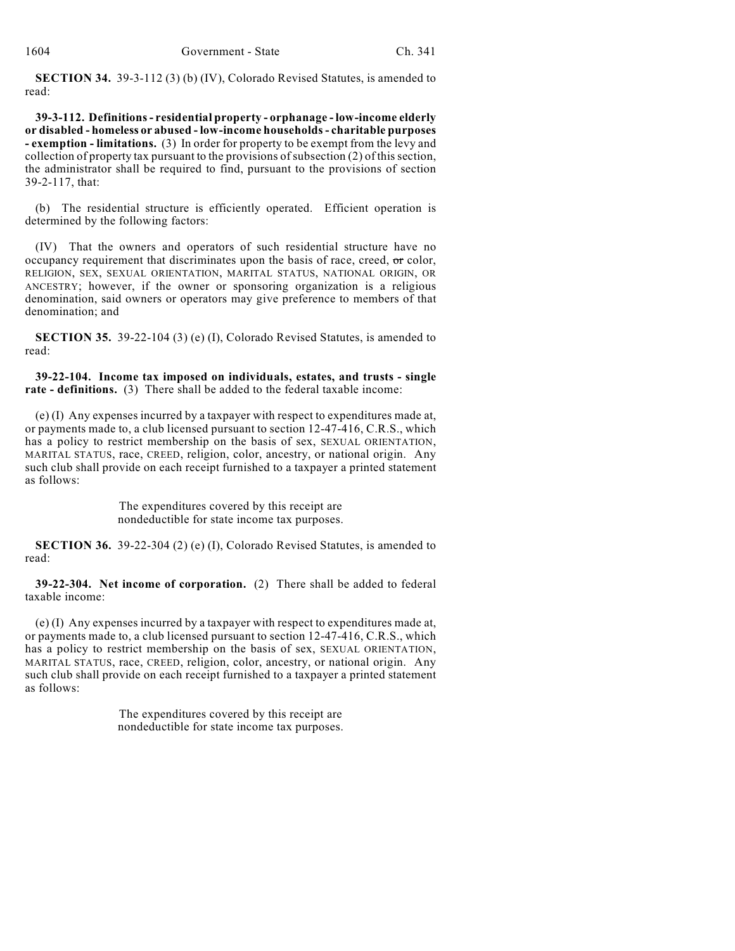**SECTION 34.** 39-3-112 (3) (b) (IV), Colorado Revised Statutes, is amended to read:

**39-3-112. Definitions - residential property - orphanage - low-income elderly or disabled - homeless or abused - low-income households - charitable purposes - exemption - limitations.** (3) In order for property to be exempt from the levy and collection of property tax pursuant to the provisions of subsection (2) of this section, the administrator shall be required to find, pursuant to the provisions of section 39-2-117, that:

(b) The residential structure is efficiently operated. Efficient operation is determined by the following factors:

(IV) That the owners and operators of such residential structure have no occupancy requirement that discriminates upon the basis of race, creed, or color, RELIGION, SEX, SEXUAL ORIENTATION, MARITAL STATUS, NATIONAL ORIGIN, OR ANCESTRY; however, if the owner or sponsoring organization is a religious denomination, said owners or operators may give preference to members of that denomination; and

**SECTION 35.** 39-22-104 (3) (e) (I), Colorado Revised Statutes, is amended to read:

## **39-22-104. Income tax imposed on individuals, estates, and trusts - single rate - definitions.** (3) There shall be added to the federal taxable income:

(e) (I) Any expenses incurred by a taxpayer with respect to expenditures made at, or payments made to, a club licensed pursuant to section 12-47-416, C.R.S., which has a policy to restrict membership on the basis of sex, SEXUAL ORIENTATION, MARITAL STATUS, race, CREED, religion, color, ancestry, or national origin. Any such club shall provide on each receipt furnished to a taxpayer a printed statement as follows:

> The expenditures covered by this receipt are nondeductible for state income tax purposes.

**SECTION 36.** 39-22-304 (2) (e) (I), Colorado Revised Statutes, is amended to read:

**39-22-304. Net income of corporation.** (2) There shall be added to federal taxable income:

(e) (I) Any expenses incurred by a taxpayer with respect to expenditures made at, or payments made to, a club licensed pursuant to section 12-47-416, C.R.S., which has a policy to restrict membership on the basis of sex, SEXUAL ORIENTATION, MARITAL STATUS, race, CREED, religion, color, ancestry, or national origin. Any such club shall provide on each receipt furnished to a taxpayer a printed statement as follows:

> The expenditures covered by this receipt are nondeductible for state income tax purposes.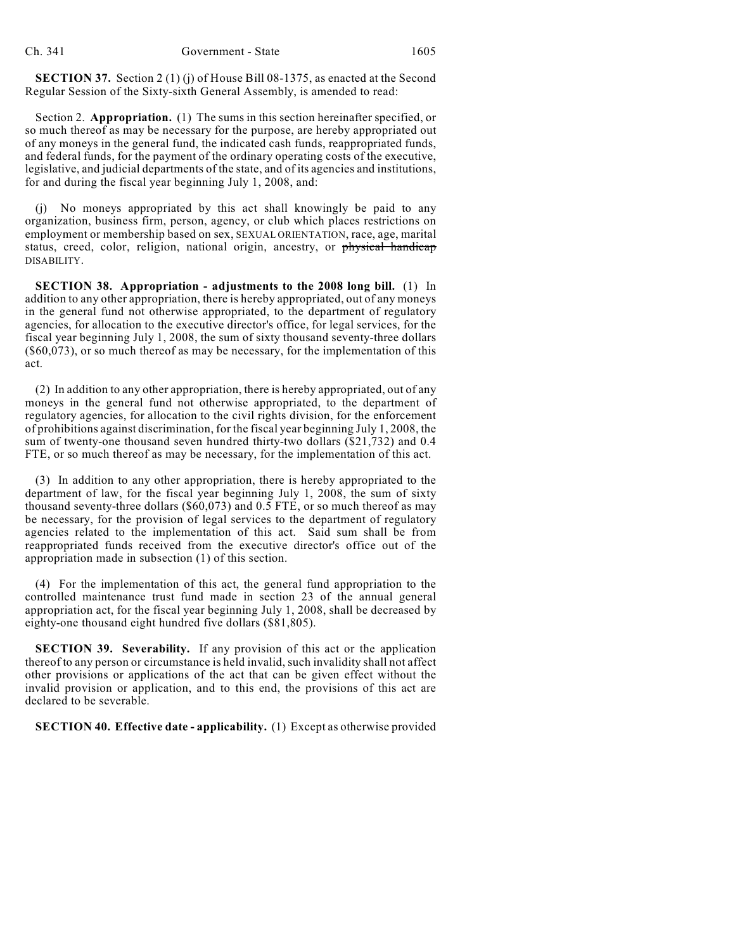**SECTION 37.** Section 2 (1) (j) of House Bill 08-1375, as enacted at the Second Regular Session of the Sixty-sixth General Assembly, is amended to read:

Section 2. **Appropriation.** (1) The sums in this section hereinafter specified, or so much thereof as may be necessary for the purpose, are hereby appropriated out of any moneys in the general fund, the indicated cash funds, reappropriated funds, and federal funds, for the payment of the ordinary operating costs of the executive, legislative, and judicial departments of the state, and of its agencies and institutions, for and during the fiscal year beginning July 1, 2008, and:

(j) No moneys appropriated by this act shall knowingly be paid to any organization, business firm, person, agency, or club which places restrictions on employment or membership based on sex, SEXUAL ORIENTATION, race, age, marital status, creed, color, religion, national origin, ancestry, or physical handicap DISABILITY.

**SECTION 38. Appropriation - adjustments to the 2008 long bill.** (1) In addition to any other appropriation, there is hereby appropriated, out of any moneys in the general fund not otherwise appropriated, to the department of regulatory agencies, for allocation to the executive director's office, for legal services, for the fiscal year beginning July 1, 2008, the sum of sixty thousand seventy-three dollars (\$60,073), or so much thereof as may be necessary, for the implementation of this act.

(2) In addition to any other appropriation, there is hereby appropriated, out of any moneys in the general fund not otherwise appropriated, to the department of regulatory agencies, for allocation to the civil rights division, for the enforcement of prohibitions against discrimination, for the fiscal year beginning July 1, 2008, the sum of twenty-one thousand seven hundred thirty-two dollars (\$21,732) and 0.4 FTE, or so much thereof as may be necessary, for the implementation of this act.

(3) In addition to any other appropriation, there is hereby appropriated to the department of law, for the fiscal year beginning July 1, 2008, the sum of sixty thousand seventy-three dollars (\$60,073) and 0.5 FTE, or so much thereof as may be necessary, for the provision of legal services to the department of regulatory agencies related to the implementation of this act. Said sum shall be from reappropriated funds received from the executive director's office out of the appropriation made in subsection (1) of this section.

(4) For the implementation of this act, the general fund appropriation to the controlled maintenance trust fund made in section 23 of the annual general appropriation act, for the fiscal year beginning July 1, 2008, shall be decreased by eighty-one thousand eight hundred five dollars (\$81,805).

**SECTION 39. Severability.** If any provision of this act or the application thereof to any person or circumstance is held invalid, such invalidity shall not affect other provisions or applications of the act that can be given effect without the invalid provision or application, and to this end, the provisions of this act are declared to be severable.

**SECTION 40. Effective date - applicability.** (1) Except as otherwise provided